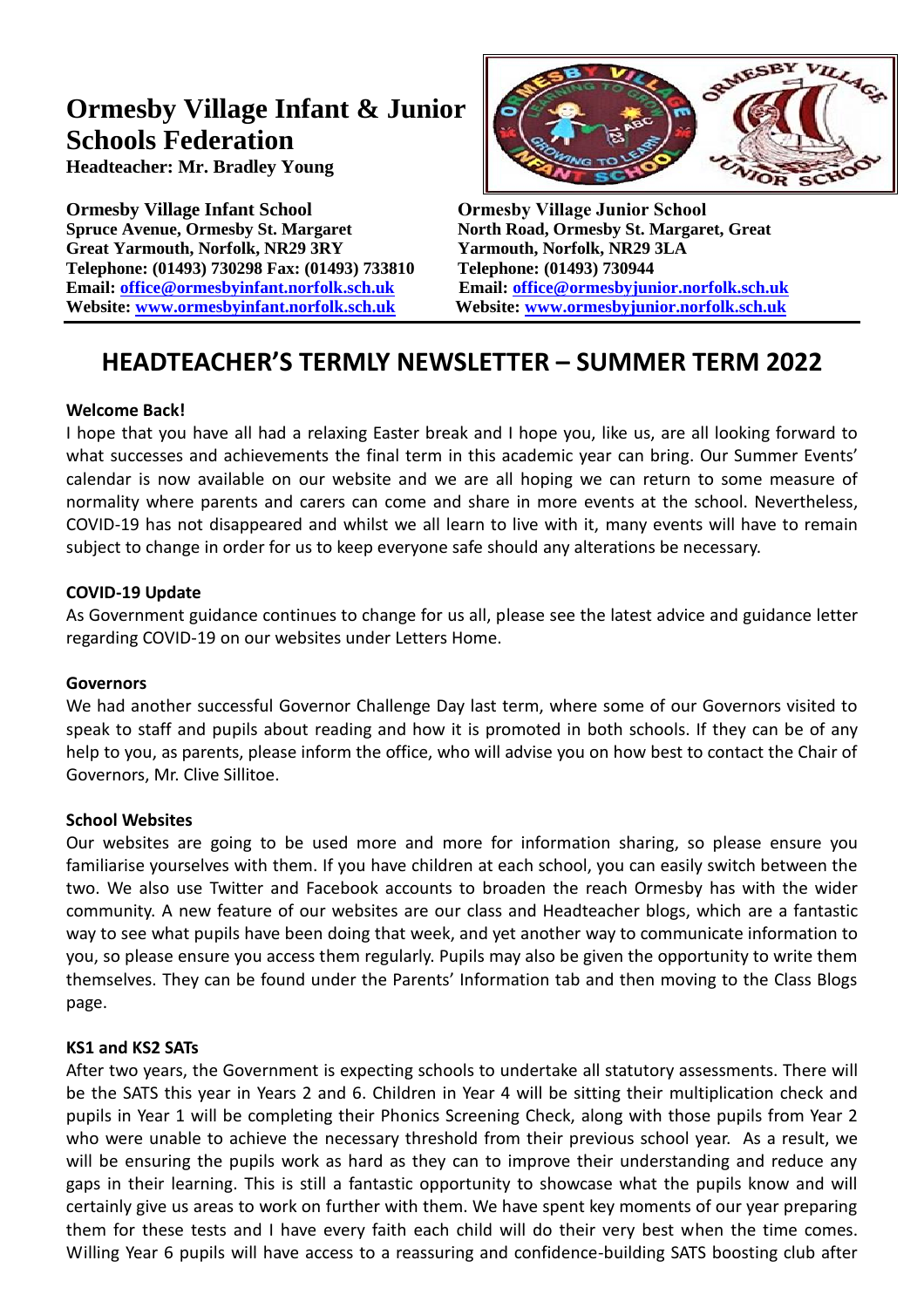# **Ormesby Village Infant & Junior Schools Federation**

**Headteacher: Mr. Bradley Young**

**Ormesby Village Infant School Ormesby Village Junior School Spruce Avenue, Ormesby St. Margaret North Road, Ormesby St. Margaret, Great Great Yarmouth, Norfolk, NR29 3RY Yarmouth, Norfolk, NR29 3LA Telephone: (01493) 730298 Fax: (01493) 733810 Telephone: (01493) 730944 Email: [office@ormesbyinfant.norfolk.sch.uk](mailto:office@ormesbyinfant.norfolk.sch.uk) Email: [office@ormesbyjunior.norfolk.sch.uk](mailto:office@ormesbyjunior.norfolk.sch.uk) Website: [www.ormesbyinfant.norfolk.sch.uk](http://www.ormesbyinfant.norfolk.sch.uk/) Website: [www.ormesbyjunior.norfolk.sch.uk](http://www.ormesbyjunior.norfolk.sch.uk/)**



# **HEADTEACHER'S TERMLY NEWSLETTER – SUMMER TERM 2022**

# **Welcome Back!**

I hope that you have all had a relaxing Easter break and I hope you, like us, are all looking forward to what successes and achievements the final term in this academic year can bring. Our Summer Events' calendar is now available on our website and we are all hoping we can return to some measure of normality where parents and carers can come and share in more events at the school. Nevertheless, COVID-19 has not disappeared and whilst we all learn to live with it, many events will have to remain subject to change in order for us to keep everyone safe should any alterations be necessary.

#### **COVID-19 Update**

As Government guidance continues to change for us all, please see the latest advice and guidance letter regarding COVID-19 on our websites under Letters Home.

#### **Governors**

We had another successful Governor Challenge Day last term, where some of our Governors visited to speak to staff and pupils about reading and how it is promoted in both schools. If they can be of any help to you, as parents, please inform the office, who will advise you on how best to contact the Chair of Governors, Mr. Clive Sillitoe.

#### **School Websites**

Our websites are going to be used more and more for information sharing, so please ensure you familiarise yourselves with them. If you have children at each school, you can easily switch between the two. We also use Twitter and Facebook accounts to broaden the reach Ormesby has with the wider community. A new feature of our websites are our class and Headteacher blogs, which are a fantastic way to see what pupils have been doing that week, and yet another way to communicate information to you, so please ensure you access them regularly. Pupils may also be given the opportunity to write them themselves. They can be found under the Parents' Information tab and then moving to the Class Blogs page.

#### **KS1 and KS2 SATs**

After two years, the Government is expecting schools to undertake all statutory assessments. There will be the SATS this year in Years 2 and 6. Children in Year 4 will be sitting their multiplication check and pupils in Year 1 will be completing their Phonics Screening Check, along with those pupils from Year 2 who were unable to achieve the necessary threshold from their previous school year. As a result, we will be ensuring the pupils work as hard as they can to improve their understanding and reduce any gaps in their learning. This is still a fantastic opportunity to showcase what the pupils know and will certainly give us areas to work on further with them. We have spent key moments of our year preparing them for these tests and I have every faith each child will do their very best when the time comes. Willing Year 6 pupils will have access to a reassuring and confidence-building SATS boosting club after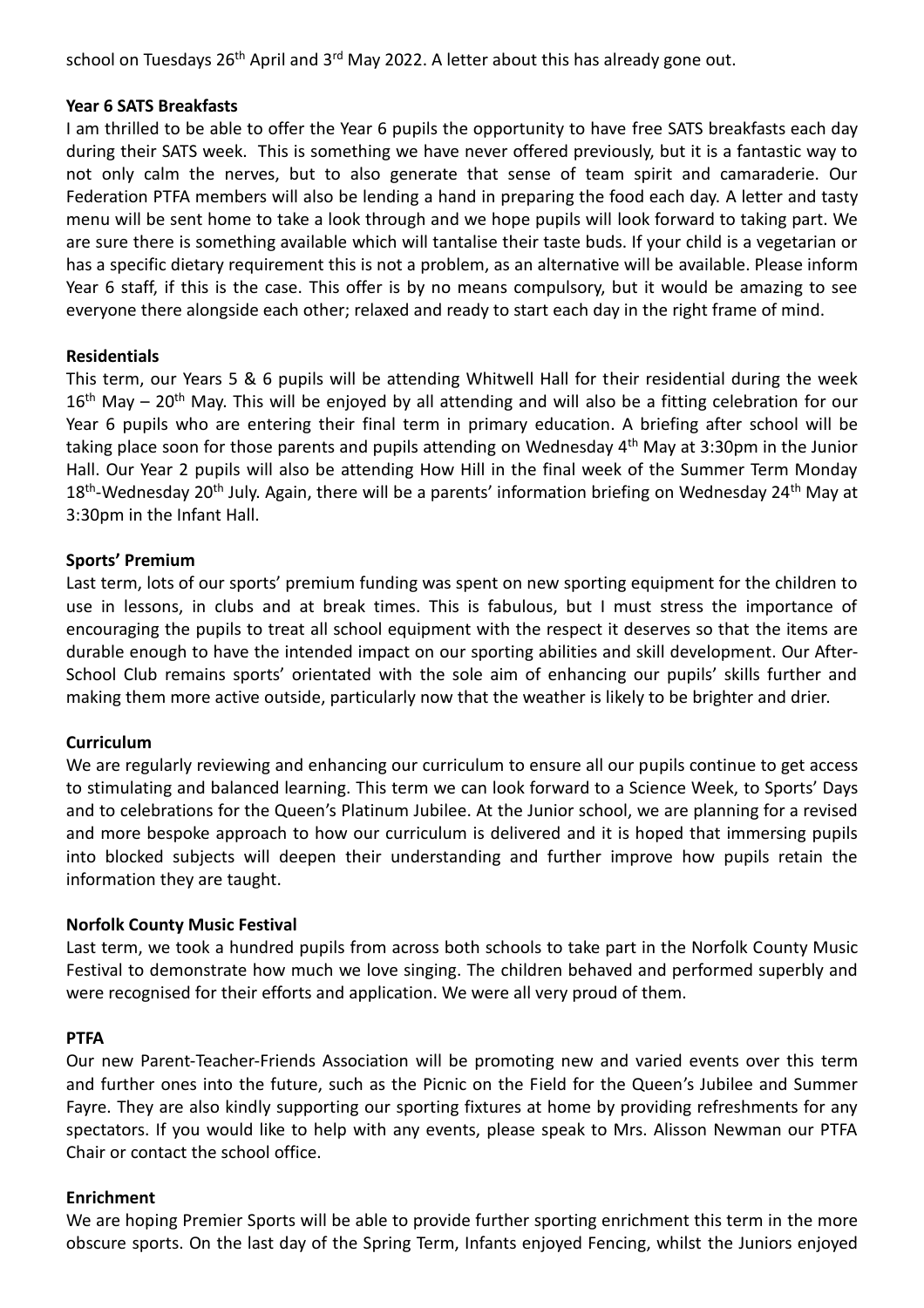school on Tuesdays 26<sup>th</sup> April and 3<sup>rd</sup> May 2022. A letter about this has already gone out.

#### **Year 6 SATS Breakfasts**

I am thrilled to be able to offer the Year 6 pupils the opportunity to have free SATS breakfasts each day during their SATS week. This is something we have never offered previously, but it is a fantastic way to not only calm the nerves, but to also generate that sense of team spirit and camaraderie. Our Federation PTFA members will also be lending a hand in preparing the food each day. A letter and tasty menu will be sent home to take a look through and we hope pupils will look forward to taking part. We are sure there is something available which will tantalise their taste buds. If your child is a vegetarian or has a specific dietary requirement this is not a problem, as an alternative will be available. Please inform Year 6 staff, if this is the case. This offer is by no means compulsory, but it would be amazing to see everyone there alongside each other; relaxed and ready to start each day in the right frame of mind.

# **Residentials**

This term, our Years 5 & 6 pupils will be attending Whitwell Hall for their residential during the week  $16<sup>th</sup>$  May – 20<sup>th</sup> May. This will be enjoyed by all attending and will also be a fitting celebration for our Year 6 pupils who are entering their final term in primary education. A briefing after school will be taking place soon for those parents and pupils attending on Wednesday 4<sup>th</sup> May at 3:30pm in the Junior Hall. Our Year 2 pupils will also be attending How Hill in the final week of the Summer Term Monday 18<sup>th</sup>-Wednesday 20<sup>th</sup> July. Again, there will be a parents' information briefing on Wednesday 24<sup>th</sup> May at 3:30pm in the Infant Hall.

# **Sports' Premium**

Last term, lots of our sports' premium funding was spent on new sporting equipment for the children to use in lessons, in clubs and at break times. This is fabulous, but I must stress the importance of encouraging the pupils to treat all school equipment with the respect it deserves so that the items are durable enough to have the intended impact on our sporting abilities and skill development. Our After-School Club remains sports' orientated with the sole aim of enhancing our pupils' skills further and making them more active outside, particularly now that the weather is likely to be brighter and drier.

#### **Curriculum**

We are regularly reviewing and enhancing our curriculum to ensure all our pupils continue to get access to stimulating and balanced learning. This term we can look forward to a Science Week, to Sports' Days and to celebrations for the Queen's Platinum Jubilee. At the Junior school, we are planning for a revised and more bespoke approach to how our curriculum is delivered and it is hoped that immersing pupils into blocked subjects will deepen their understanding and further improve how pupils retain the information they are taught.

#### **Norfolk County Music Festival**

Last term, we took a hundred pupils from across both schools to take part in the Norfolk County Music Festival to demonstrate how much we love singing. The children behaved and performed superbly and were recognised for their efforts and application. We were all very proud of them.

#### **PTFA**

Our new Parent-Teacher-Friends Association will be promoting new and varied events over this term and further ones into the future, such as the Picnic on the Field for the Queen's Jubilee and Summer Fayre. They are also kindly supporting our sporting fixtures at home by providing refreshments for any spectators. If you would like to help with any events, please speak to Mrs. Alisson Newman our PTFA Chair or contact the school office.

#### **Enrichment**

We are hoping Premier Sports will be able to provide further sporting enrichment this term in the more obscure sports. On the last day of the Spring Term, Infants enjoyed Fencing, whilst the Juniors enjoyed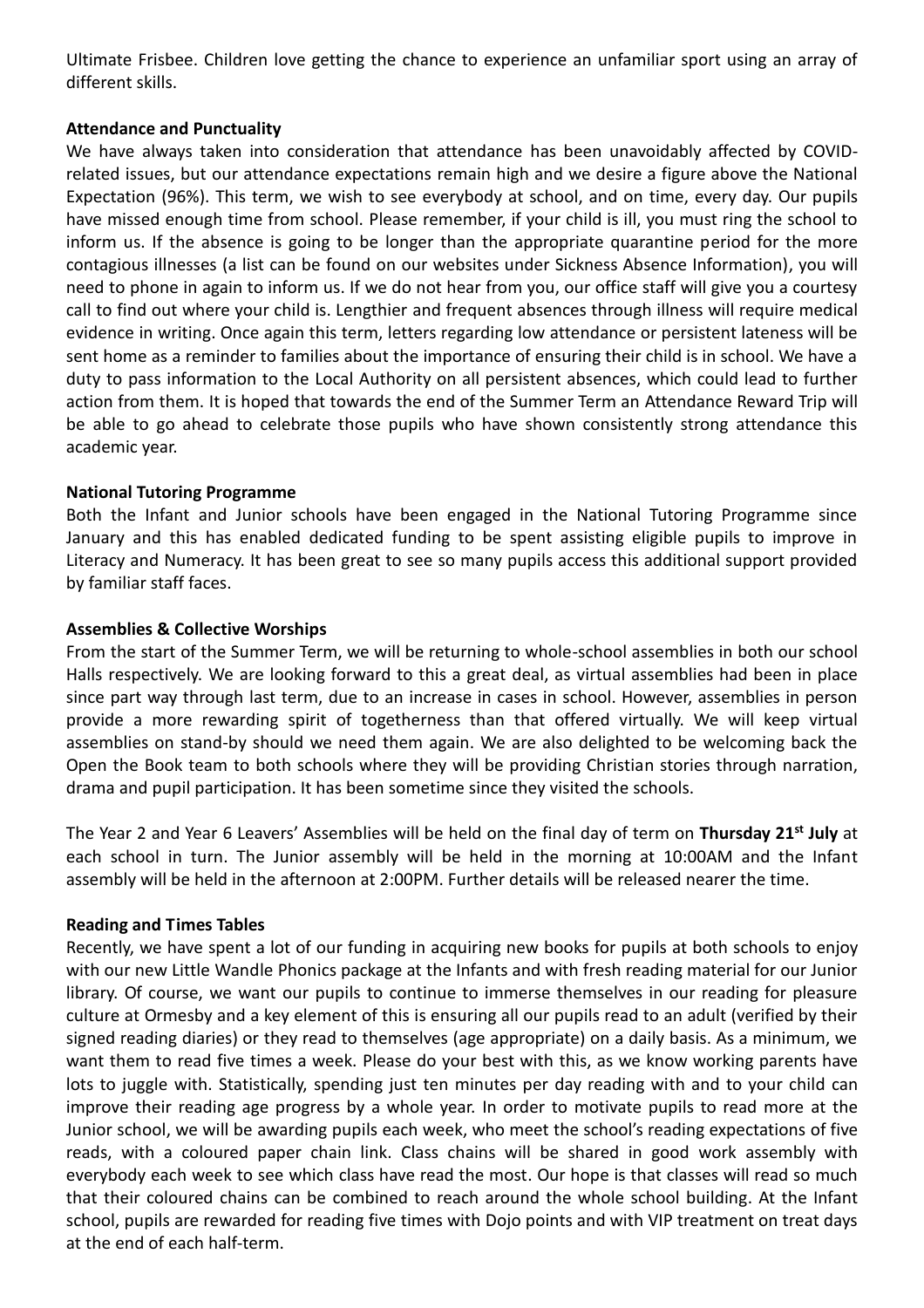Ultimate Frisbee. Children love getting the chance to experience an unfamiliar sport using an array of different skills.

#### **Attendance and Punctuality**

We have always taken into consideration that attendance has been unavoidably affected by COVIDrelated issues, but our attendance expectations remain high and we desire a figure above the National Expectation (96%). This term, we wish to see everybody at school, and on time, every day. Our pupils have missed enough time from school. Please remember, if your child is ill, you must ring the school to inform us. If the absence is going to be longer than the appropriate quarantine period for the more contagious illnesses (a list can be found on our websites under Sickness Absence Information), you will need to phone in again to inform us. If we do not hear from you, our office staff will give you a courtesy call to find out where your child is. Lengthier and frequent absences through illness will require medical evidence in writing. Once again this term, letters regarding low attendance or persistent lateness will be sent home as a reminder to families about the importance of ensuring their child is in school. We have a duty to pass information to the Local Authority on all persistent absences, which could lead to further action from them. It is hoped that towards the end of the Summer Term an Attendance Reward Trip will be able to go ahead to celebrate those pupils who have shown consistently strong attendance this academic year.

# **National Tutoring Programme**

Both the Infant and Junior schools have been engaged in the National Tutoring Programme since January and this has enabled dedicated funding to be spent assisting eligible pupils to improve in Literacy and Numeracy. It has been great to see so many pupils access this additional support provided by familiar staff faces.

# **Assemblies & Collective Worships**

From the start of the Summer Term, we will be returning to whole-school assemblies in both our school Halls respectively. We are looking forward to this a great deal, as virtual assemblies had been in place since part way through last term, due to an increase in cases in school. However, assemblies in person provide a more rewarding spirit of togetherness than that offered virtually. We will keep virtual assemblies on stand-by should we need them again. We are also delighted to be welcoming back the Open the Book team to both schools where they will be providing Christian stories through narration, drama and pupil participation. It has been sometime since they visited the schools.

The Year 2 and Year 6 Leavers' Assemblies will be held on the final day of term on **Thursday 21 st July** at each school in turn. The Junior assembly will be held in the morning at 10:00AM and the Infant assembly will be held in the afternoon at 2:00PM. Further details will be released nearer the time.

# **Reading and Times Tables**

Recently, we have spent a lot of our funding in acquiring new books for pupils at both schools to enjoy with our new Little Wandle Phonics package at the Infants and with fresh reading material for our Junior library. Of course, we want our pupils to continue to immerse themselves in our reading for pleasure culture at Ormesby and a key element of this is ensuring all our pupils read to an adult (verified by their signed reading diaries) or they read to themselves (age appropriate) on a daily basis. As a minimum, we want them to read five times a week. Please do your best with this, as we know working parents have lots to juggle with. Statistically, spending just ten minutes per day reading with and to your child can improve their reading age progress by a whole year. In order to motivate pupils to read more at the Junior school, we will be awarding pupils each week, who meet the school's reading expectations of five reads, with a coloured paper chain link. Class chains will be shared in good work assembly with everybody each week to see which class have read the most. Our hope is that classes will read so much that their coloured chains can be combined to reach around the whole school building. At the Infant school, pupils are rewarded for reading five times with Dojo points and with VIP treatment on treat days at the end of each half-term.